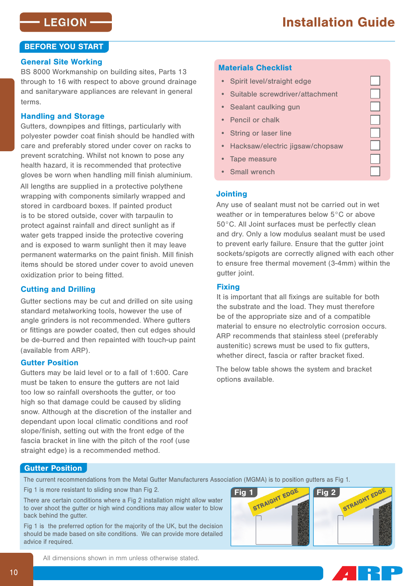# BEFORE YOU START

### General Site Working

BS 8000 Workmanship on building sites, Parts 13 through to 16 with respect to above ground drainage and sanitaryware appliances are relevant in general terms.

## Handling and Storage

Gutters, downpipes and fittings, particularly with polyester powder coat finish should be handled with care and preferably stored under cover on racks to prevent scratching. Whilst not known to pose any health hazard, it is recommended that protective gloves be worn when handling mill finish aluminium.

All lengths are supplied in a protective polythene wrapping with components similarly wrapped and stored in cardboard boxes. If painted product is to be stored outside, cover with tarpaulin to protect against rainfall and direct sunlight as if water gets trapped inside the protective covering and is exposed to warm sunlight then it may leave permanent watermarks on the paint finish. Mill finish items should be stored under cover to avoid uneven oxidization prior to being fitted.

# Cutting and Drilling

Gutter sections may be cut and drilled on site using standard metalworking tools, however the use of angle grinders is not recommended. Where gutters or fittings are powder coated, then cut edges should be de-burred and then repainted with touch-up paint (available from ARP).

## Gutter Position

Gutters may be laid level or to a fall of 1:600. Care must be taken to ensure the gutters are not laid too low so rainfall overshoots the gutter, or too high so that damage could be caused by sliding snow. Although at the discretion of the installer and dependant upon local climatic conditions and roof slope/finish, setting out with the front edge of the fascia bracket in line with the pitch of the roof (use straight edge) is a recommended method.

# Materials Checklist

- Spirit level/straight edge
- Suitable screwdriver/attachment
- Sealant caulking gun
- Pencil or chalk
- String or laser line
- Hacksaw/electric jigsaw/chopsaw
- Tape measure
- Small wrench

#### **Jointing**

Any use of sealant must not be carried out in wet weather or in temperatures below 5°C or above 50°C. All Joint surfaces must be perfectly clean and dry. Only a low modulus sealant must be used to prevent early failure. Ensure that the gutter joint sockets/spigots are correctly aligned with each other to ensure free thermal movement (3-4mm) within the gutter joint.

#### **Fixing**

It is important that all fixings are suitable for both the substrate and the load. They must therefore be of the appropriate size and of a compatible material to ensure no electrolytic corrosion occurs. ARP recommends that stainless steel (preferably austenitic) screws must be used to fix gutters, whether direct, fascia or rafter bracket fixed.

The below table shows the system and bracket options available.

#### Gutter Position

There are certain conditions where a Fig 2 installation might allow water to over shoot the gutter or high wind conditions may allow water to blow back behind the gutter.

Fig 1 is the preferred option for the majority of the UK, but the decision should be made based on site conditions. We can provide more detailed advice if required.



**AR** 

All dimensions shown in mm unless otherwise stated.